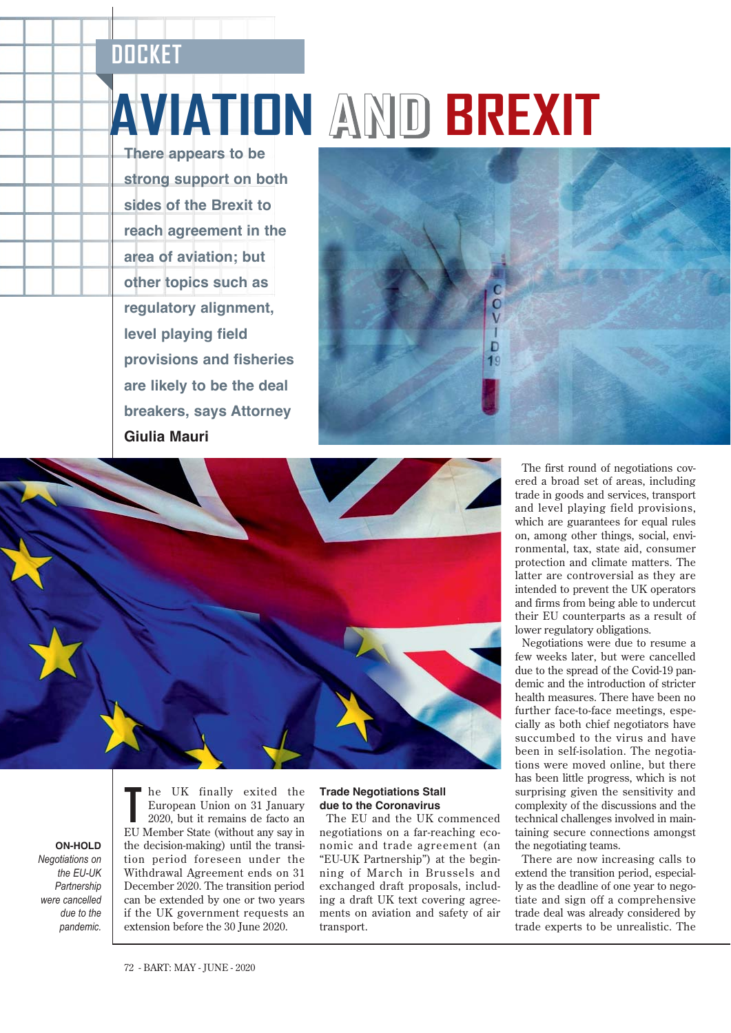## **DOCKET**

**There appears to be strong support on both sides of the Brexit to reach agreement in the area of aviation; but other topics such as regulatory alignment, level playing field provisions and fisheries are likely to be the deal breakers, says Attorney Giulia Mauri** 

# **AVIATION AND BREXIT**





**ON-HOLD** *Negotiations on the EU-UK Partnership were cancelled due to the pandemic.* 

**T** he UK finally exited the European Union on 31 January 2020, but it remains de facto an EU Member State (without any say in the decision-making) until the transition period foreseen under the Withdrawal Agreement ends on 31 December 2020. The transition period can be extended by one or two years if the UK government requests an extension before the 30 June 2020.

### **Trade Negotiations Stall due to the Coronavirus**

The EU and the UK commenced negotiations on a far-reaching economic and trade agreement (an "EU-UK Partnership") at the beginning of March in Brussels and exchanged draft proposals, including a draft UK text covering agreements on aviation and safety of air transport.

The first round of negotiations covered a broad set of areas, including trade in goods and services, transport and level playing field provisions, which are guarantees for equal rules on, among other things, social, environmental, tax, state aid, consumer protection and climate matters. The latter are controversial as they are intended to prevent the UK operators and firms from being able to undercut their EU counterparts as a result of lower regulatory obligations.

Negotiations were due to resume a few weeks later, but were cancelled due to the spread of the Covid-19 pandemic and the introduction of stricter health measures. There have been no further face-to-face meetings, especially as both chief negotiators have succumbed to the virus and have been in self-isolation. The negotiations were moved online, but there has been little progress, which is not surprising given the sensitivity and complexity of the discussions and the technical challenges involved in maintaining secure connections amongst the negotiating teams.

There are now increasing calls to extend the transition period, especially as the deadline of one year to negotiate and sign off a comprehensive trade deal was already considered by trade experts to be unrealistic. The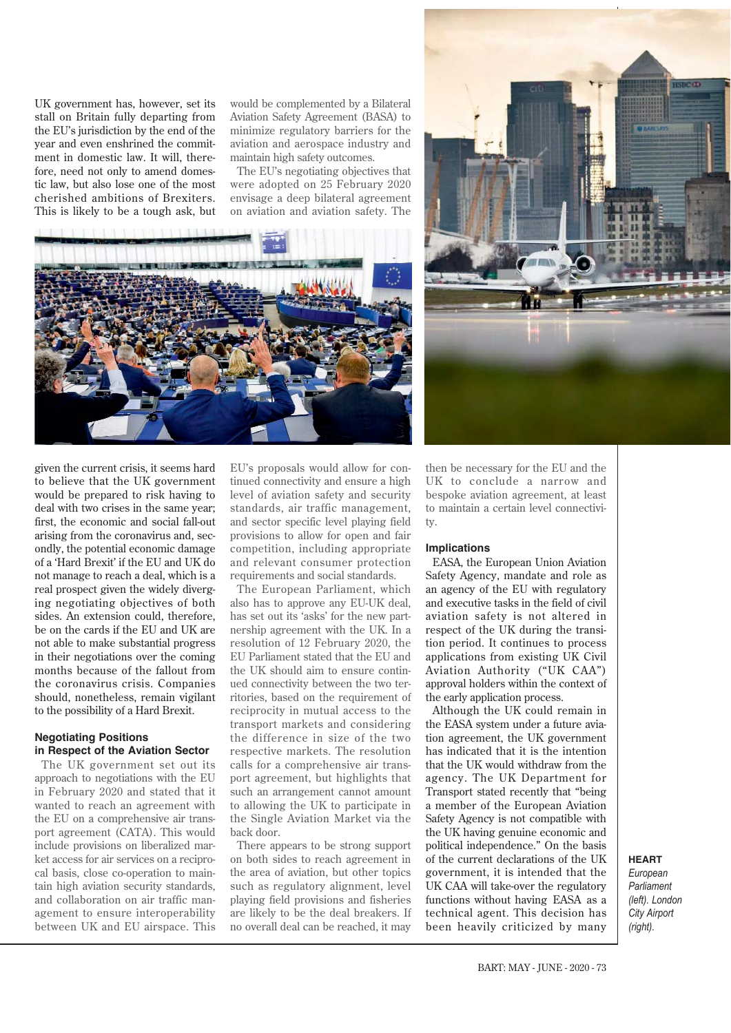UK government has, however, set its stall on Britain fully departing from the EU's jurisdiction by the end of the year and even enshrined the commitment in domestic law. It will, therefore, need not only to amend domestic law, but also lose one of the most cherished ambitions of Brexiters. This is likely to be a tough ask, but would be complemented by a Bilateral Aviation Safety Agreement (BASA) to minimize regulatory barriers for the aviation and aerospace industry and maintain high safety outcomes.

The EU's negotiating objectives that were adopted on 25 February 2020 envisage a deep bilateral agreement on aviation and aviation safety. The





given the current crisis, it seems hard to believe that the UK government would be prepared to risk having to deal with two crises in the same year; first, the economic and social fall-out arising from the coronavirus and, secondly, the potential economic damage of a 'Hard Brexit' if the EU and UK do not manage to reach a deal, which is a real prospect given the widely diverging negotiating objectives of both sides. An extension could, therefore, be on the cards if the EU and UK are not able to make substantial progress in their negotiations over the coming months because of the fallout from the coronavirus crisis. Companies should, nonetheless, remain vigilant to the possibility of a Hard Brexit.

#### **Negotiating Positions in Respect of the Aviation Sector**

The UK government set out its approach to negotiations with the EU in February 2020 and stated that it wanted to reach an agreement with the EU on a comprehensive air transport agreement (CATA). This would include provisions on liberalized market access for air services on a reciprocal basis, close co-operation to maintain high aviation security standards, and collaboration on air traffic management to ensure interoperability between UK and EU airspace. This EU's proposals would allow for continued connectivity and ensure a high level of aviation safety and security standards, air traffic management, and sector specific level playing field provisions to allow for open and fair competition, including appropriate and relevant consumer protection requirements and social standards.

The European Parliament, which also has to approve any EU-UK deal, has set out its 'asks' for the new partnership agreement with the UK. In a resolution of 12 February 2020, the EU Parliament stated that the EU and the UK should aim to ensure continued connectivity between the two territories, based on the requirement of reciprocity in mutual access to the transport markets and considering the difference in size of the two respective markets. The resolution calls for a comprehensive air transport agreement, but highlights that such an arrangement cannot amount to allowing the UK to participate in the Single Aviation Market via the back door.

There appears to be strong support on both sides to reach agreement in the area of aviation, but other topics such as regulatory alignment, level playing field provisions and fisheries are likely to be the deal breakers. If no overall deal can be reached, it may

then be necessary for the EU and the UK to conclude a narrow and bespoke aviation agreement, at least to maintain a certain level connectivity.

### **Implications**

EASA, the European Union Aviation Safety Agency, mandate and role as an agency of the EU with regulatory and executive tasks in the field of civil aviation safety is not altered in respect of the UK during the transition period. It continues to process applications from existing UK Civil Aviation Authority ("UK CAA") approval holders within the context of the early application process.

Although the UK could remain in the EASA system under a future aviation agreement, the UK government has indicated that it is the intention that the UK would withdraw from the agency. The UK Department for Transport stated recently that "being a member of the European Aviation Safety Agency is not compatible with the UK having genuine economic and political independence." On the basis of the current declarations of the UK government, it is intended that the UK CAA will take-over the regulatory functions without having EASA as a technical agent. This decision has been heavily criticized by many

**HEART** *European Parliament (left). London City Airport (right).*